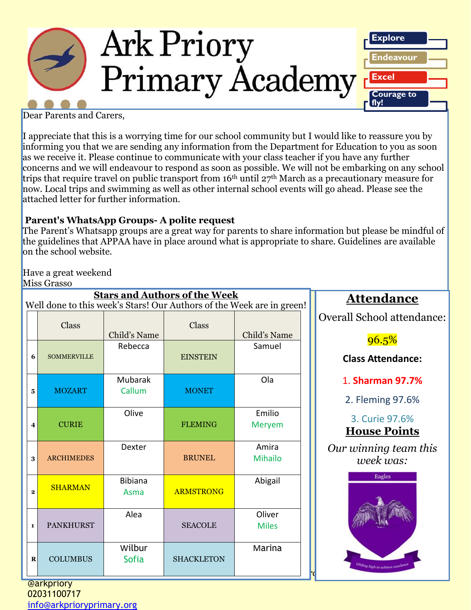

Dear Parents and Carers,

I appreciate that this is a worrying time for our school community but I would like to reassure you by informing you that we are sending any information from the Department for Education to you as soon as we receive it. Please continue to communicate with your class teacher if you have any further concerns and we will endeavour to respond as soon as possible. We will not be embarking on any school trips that require travel on public transport from 16th until 27th March as a precautionary measure for now. Local trips and swimming as well as other internal school events will go ahead. Please see the attached letter for further information.

## **Parent's WhatsApp Groups- A polite request**

The Parent's Whatsapp groups are a great way for parents to share information but please be mindful of the guidelines that APPAA have in place around what is appropriate to share. Guidelines are available on the school website.

Have a great weekend Miss Grasso

|                         | www orasso         |                         |                                      |                                                                       |                            |
|-------------------------|--------------------|-------------------------|--------------------------------------|-----------------------------------------------------------------------|----------------------------|
|                         |                    |                         | <b>Stars and Authors of the Week</b> | Well done to this week's Stars! Our Authors of the Week are in green! | <u>Attend</u>              |
|                         | Class              |                         | Class                                |                                                                       | <b>Overall School</b>      |
|                         |                    | Child's Name<br>Rebecca |                                      | Child's Name<br>Samuel                                                | 96.5                       |
| 6                       | <b>SOMMERVILLE</b> |                         | <b>EINSTEIN</b>                      |                                                                       | <b>Class Atter</b>         |
|                         |                    | <b>Mubarak</b>          |                                      | Ola                                                                   | 1. Sharma                  |
| 5                       | <b>MOZART</b>      | Callum                  | <b>MONET</b>                         |                                                                       | 2. Fleming                 |
| $\overline{\mathbf{4}}$ | <b>CURIE</b>       | Olive                   | <b>FLEMING</b>                       | Emilio<br><b>Meryem</b>                                               | 3. Curie<br><b>House I</b> |
| 3                       | <b>ARCHIMEDES</b>  | Dexter                  | <b>BRUNEL</b>                        | Amira<br><b>Mihailo</b>                                               | Our winning<br>week v      |
| $\mathbf 2$             | <b>SHARMAN</b>     | <b>Bibiana</b><br>Asma  | <b>ARMSTRONG</b>                     | Abigail                                                               | Eagle                      |
| $\mathbf{1}$            | <b>PANKHURST</b>   | Alea                    | <b>SEACOLE</b>                       | Oliver<br><b>Miles</b>                                                |                            |
| $\bf R$                 | <b>COLUMBUS</b>    | Wilbur<br><b>Sofia</b>  | <b>SHACKLETON</b>                    | Marina                                                                | Hiding high to achie       |

**Attendance**

Overall School attendance:

 $96.5%$ 

**Class Attendance:**

1. **Sharman 97.7%**

2. Fleming 97.6%

3. Curie 97.6% **House Points**

*Our winning team this week was:*

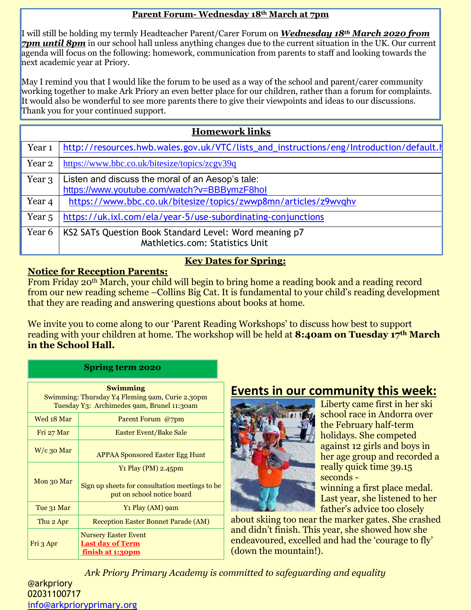#### **Parent Forum- Wednesday 18th March at 7pm**

I will still be holding my termly Headteacher Parent/Carer Forum on *Wednesday 18th March 2020 from 7pm until 8pm* in our school hall unless anything changes due to the current situation in the UK. Our current agenda will focus on the following: homework, communication from parents to staff and looking towards the next academic year at Priory.

May I remind you that I would like the forum to be used as a way of the school and parent/carer community working together to make Ark Priory an even better place for our children, rather than a forum for complaints. It would also be wonderful to see more parents there to give their viewpoints and ideas to our discussions. Thank you for your continued support.

| <b>Homework links</b> |                                                                                            |  |  |  |  |
|-----------------------|--------------------------------------------------------------------------------------------|--|--|--|--|
| Year <sub>1</sub>     | http://resources.hwb.wales.gov.uk/VTC/lists_and_instructions/eng/Introduction/default.html |  |  |  |  |
| Year 2                | https://www.bbc.co.uk/bitesize/topics/zcgv39q                                              |  |  |  |  |
| Year 3                | Listen and discuss the moral of an Aesop's tale:                                           |  |  |  |  |
|                       | https://www.youtube.com/watch?v=BBBymzF8hol                                                |  |  |  |  |
| Year 4                | https://www.bbc.co.uk/bitesize/topics/zwwp8mn/articles/z9wvqhv                             |  |  |  |  |
| Year 5                | https://uk.ixl.com/ela/year-5/use-subordinating-conjunctions                               |  |  |  |  |
| Year 6                | KS2 SATs Question Book Standard Level: Word meaning p7<br>Mathletics.com: Statistics Unit  |  |  |  |  |

## **Key Dates for Spring:**

### **Notice for Reception Parents:**

From Friday 20th March, your child will begin to bring home a reading book and a reading record from our new reading scheme –Collins Big Cat. It is fundamental to your child's reading development that they are reading and answering questions about books at home.

We invite you to come along to our 'Parent Reading Workshops' to discuss how best to support reading with your children at home. The workshop will be held at **8:40am on Tuesday 17th March in the School Hall.**

| <b>Swimming</b><br>Swimming: Thursday Y4 Fleming 9am, Curie 2.30pm<br>Tuesday Y3: Archimedes 9am, Brunel 11:30am |                                                                                                        |  |  |  |  |
|------------------------------------------------------------------------------------------------------------------|--------------------------------------------------------------------------------------------------------|--|--|--|--|
| Wed 18 Mar                                                                                                       | Parent Forum @7pm                                                                                      |  |  |  |  |
| Fri 27 Mar                                                                                                       | Easter Event/Bake Sale                                                                                 |  |  |  |  |
| $W/c$ 30 Mar                                                                                                     | <b>APPAA Sponsored Easter Egg Hunt</b>                                                                 |  |  |  |  |
| Mon 30 Mar                                                                                                       | $Y_1$ Play (PM) 2.45pm<br>Sign up sheets for consultation meetings to be<br>put on school notice board |  |  |  |  |
| Tue 31 Mar                                                                                                       | Y1 Play (AM) 9am                                                                                       |  |  |  |  |
| Thu 2 Apr                                                                                                        | <b>Reception Easter Bonnet Parade (AM)</b>                                                             |  |  |  |  |
| Fri 3 Apr                                                                                                        | <b>Nursery Easter Event</b><br><b>Last day of Term</b><br>finish at 1:30pm                             |  |  |  |  |

**Spring term 2020**

## **Events in our community this week:**



Liberty came first in her ski school race in Andorra over the February half-term holidays. She competed against 12 girls and boys in her age group and recorded a really quick time 39.15 seconds -

winning a first place medal. Last year, she listened to her father's advice too closely

about skiing too near the marker gates. She crashed and didn't finish. This year, she showed how she endeavoured, excelled and had the 'courage to fly' (down the mountain!).

*Ark Priory Primary Academy is committed to safeguarding and equality* 

@arkpriory 02031100717 [info@arkprioryprimary.org](mailto:info@arkprioryprimary.org)